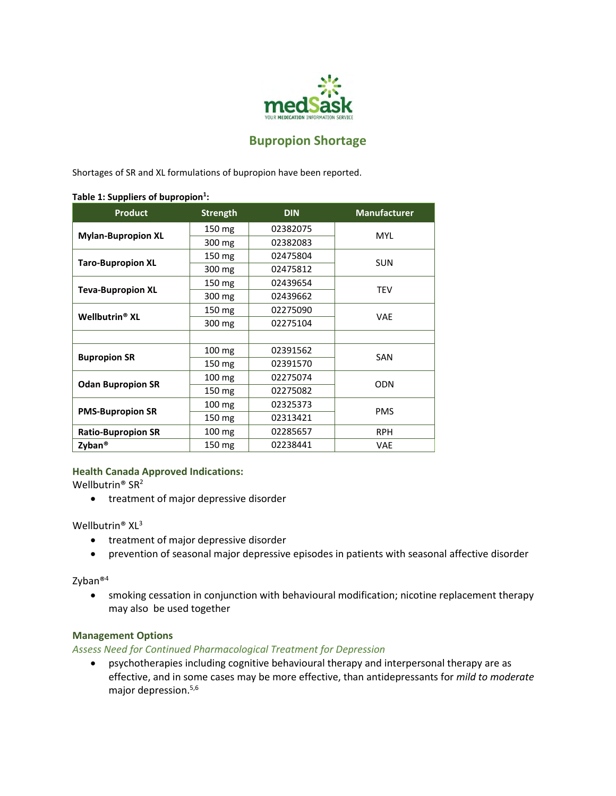

# **Bupropion Shortage**

Shortages of SR and XL formulations of bupropion have been reported.

#### **Table 1: Suppliers of bupropion<sup>1</sup> :**

| <b>Product</b>                   | <b>Strength</b>  | <b>DIN</b> | <b>Manufacturer</b> |
|----------------------------------|------------------|------------|---------------------|
| <b>Mylan-Bupropion XL</b>        | 150 mg           | 02382075   | <b>MYL</b>          |
|                                  | 300 mg           | 02382083   |                     |
| <b>Taro-Bupropion XL</b>         | 150 mg           | 02475804   | <b>SUN</b>          |
|                                  | 300 mg           | 02475812   |                     |
| <b>Teva-Bupropion XL</b>         | 150 mg           | 02439654   | <b>TEV</b>          |
|                                  | 300 mg           | 02439662   |                     |
| <b>Wellbutrin<sup>®</sup> XL</b> | 150 mg           | 02275090   | <b>VAE</b>          |
|                                  | 300 mg           | 02275104   |                     |
|                                  |                  |            |                     |
| <b>Bupropion SR</b>              | 100 mg           | 02391562   | SAN                 |
|                                  | 150 mg           | 02391570   |                     |
| <b>Odan Bupropion SR</b>         | 100 mg           | 02275074   | <b>ODN</b>          |
|                                  | 150 mg           | 02275082   |                     |
| <b>PMS-Bupropion SR</b>          | $100 \text{ mg}$ | 02325373   | <b>PMS</b>          |
|                                  | 150 mg           | 02313421   |                     |
| <b>Ratio-Bupropion SR</b>        | $100 \text{ mg}$ | 02285657   | <b>RPH</b>          |
| Zyban <sup>®</sup>               | 150 mg           | 02238441   | VAE                 |

#### **Health Canada Approved Indications:**

Wellbutrin® SR<sup>2</sup>

**•** treatment of major depressive disorder

#### Wellbutrin® XL<sup>3</sup>

- treatment of major depressive disorder
- prevention of seasonal major depressive episodes in patients with seasonal affective disorder

#### Zyban®<sup>4</sup>

 smoking cessation in conjunction with behavioural modification; nicotine replacement therapy may also be used together

# **Management Options**

*Assess Need for Continued Pharmacological Treatment for Depression* 

 psychotherapies including cognitive behavioural therapy and interpersonal therapy are as effective, and in some cases may be more effective, than antidepressants for *mild to moderate* major depression.<sup>5,6</sup>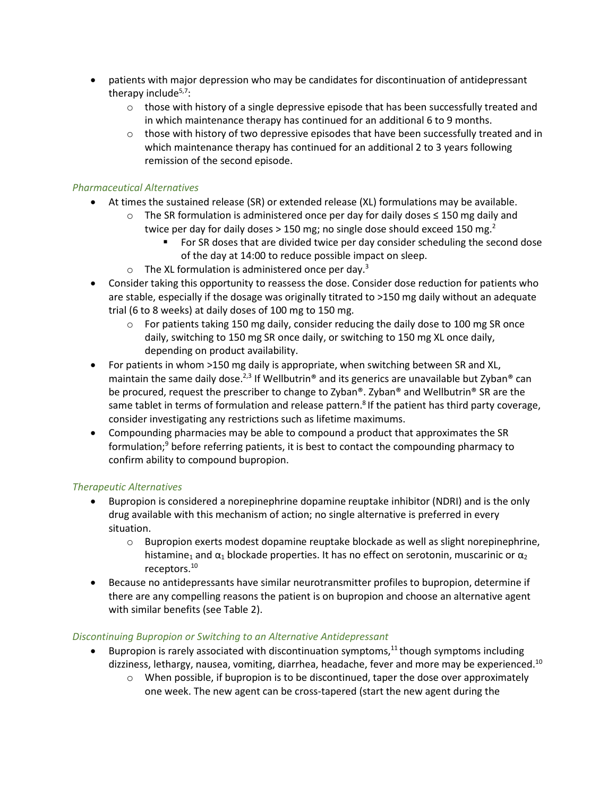- patients with major depression who may be candidates for discontinuation of antidepressant therapy include<sup>5,7</sup>:
	- $\circ$  those with history of a single depressive episode that has been successfully treated and in which maintenance therapy has continued for an additional 6 to 9 months.
	- $\circ$  those with history of two depressive episodes that have been successfully treated and in which maintenance therapy has continued for an additional 2 to 3 years following remission of the second episode.

# *Pharmaceutical Alternatives*

- At times the sustained release (SR) or extended release (XL) formulations may be available.
	- o The SR formulation is administered once per day for daily doses ≤ 150 mg daily and
		- twice per day for daily doses  $> 150$  mg; no single dose should exceed 150 mg.<sup>2</sup>
			- For SR doses that are divided twice per day consider scheduling the second dose of the day at 14:00 to reduce possible impact on sleep.
	- $\circ$  The XL formulation is administered once per day.<sup>3</sup>
- Consider taking this opportunity to reassess the dose. Consider dose reduction for patients who are stable, especially if the dosage was originally titrated to >150 mg daily without an adequate trial (6 to 8 weeks) at daily doses of 100 mg to 150 mg.
	- $\circ$  For patients taking 150 mg daily, consider reducing the daily dose to 100 mg SR once daily, switching to 150 mg SR once daily, or switching to 150 mg XL once daily, depending on product availability.
- For patients in whom >150 mg daily is appropriate, when switching between SR and XL, maintain the same daily dose.<sup>2,3</sup> If Wellbutrin<sup>®</sup> and its generics are unavailable but Zyban<sup>®</sup> can be procured, request the prescriber to change to Zyban®. Zyban® and Wellbutrin® SR are the same tablet in terms of formulation and release pattern.<sup>8</sup> If the patient has third party coverage, consider investigating any restrictions such as lifetime maximums.
- Compounding pharmacies may be able to compound a product that approximates the SR formulation;<sup>9</sup> before referring patients, it is best to contact the compounding pharmacy to confirm ability to compound bupropion.

## *Therapeutic Alternatives*

- Bupropion is considered a norepinephrine dopamine reuptake inhibitor (NDRI) and is the only drug available with this mechanism of action; no single alternative is preferred in every situation.
	- $\circ$  Bupropion exerts modest dopamine reuptake blockade as well as slight norepinephrine, histamine<sub>1</sub> and  $\alpha_1$  blockade properties. It has no effect on serotonin, muscarinic or  $\alpha_2$ receptors.<sup>10</sup>
- Because no antidepressants have similar neurotransmitter profiles to bupropion, determine if there are any compelling reasons the patient is on bupropion and choose an alternative agent with similar benefits (see Table 2).

## *Discontinuing Bupropion or Switching to an Alternative Antidepressant*

- Bupropion is rarely associated with discontinuation symptoms,<sup>11</sup> though symptoms including dizziness, lethargy, nausea, vomiting, diarrhea, headache, fever and more may be experienced.<sup>10</sup>
	- $\circ$  When possible, if bupropion is to be discontinued, taper the dose over approximately one week. The new agent can be cross-tapered (start the new agent during the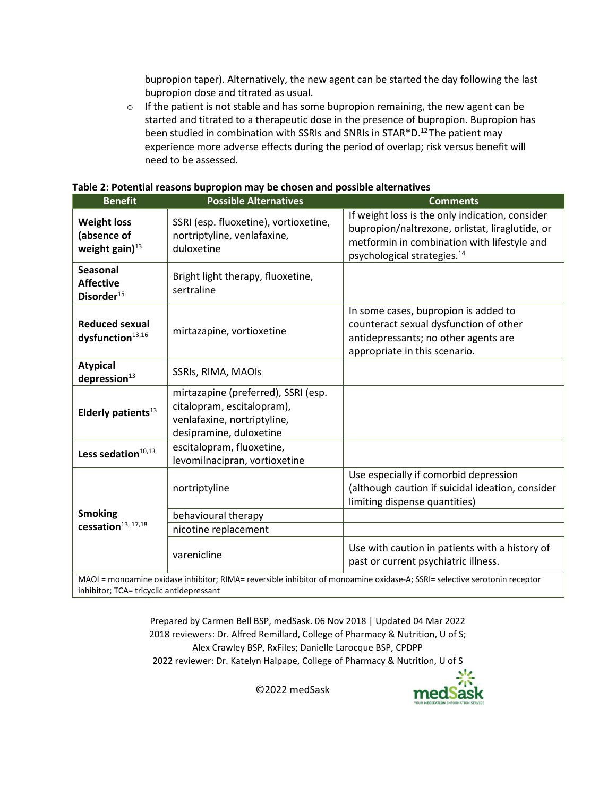bupropion taper). Alternatively, the new agent can be started the day following the last bupropion dose and titrated as usual.

 $\circ$  If the patient is not stable and has some bupropion remaining, the new agent can be started and titrated to a therapeutic dose in the presence of bupropion. Bupropion has been studied in combination with SSRIs and SNRIs in STAR\*D.<sup>12</sup>The patient may experience more adverse effects during the period of overlap; risk versus benefit will need to be assessed.

| <b>Benefit</b>                                                | <b>Possible Alternatives</b>                                                                                                | <b>Comments</b>                                                                                                                                                                              |
|---------------------------------------------------------------|-----------------------------------------------------------------------------------------------------------------------------|----------------------------------------------------------------------------------------------------------------------------------------------------------------------------------------------|
| <b>Weight loss</b><br>(absence of<br>weight gain $)^{13}$     | SSRI (esp. fluoxetine), vortioxetine,<br>nortriptyline, venlafaxine,<br>duloxetine                                          | If weight loss is the only indication, consider<br>bupropion/naltrexone, orlistat, liraglutide, or<br>metformin in combination with lifestyle and<br>psychological strategies. <sup>14</sup> |
| <b>Seasonal</b><br><b>Affective</b><br>Disorder <sup>15</sup> | Bright light therapy, fluoxetine,<br>sertraline                                                                             |                                                                                                                                                                                              |
| <b>Reduced sexual</b><br>dysfunction <sup>13,16</sup>         | mirtazapine, vortioxetine                                                                                                   | In some cases, bupropion is added to<br>counteract sexual dysfunction of other<br>antidepressants; no other agents are<br>appropriate in this scenario.                                      |
| <b>Atypical</b><br>depression <sup>13</sup>                   | SSRIs, RIMA, MAOIs                                                                                                          |                                                                                                                                                                                              |
| Elderly patients <sup>13</sup>                                | mirtazapine (preferred), SSRI (esp.<br>citalopram, escitalopram),<br>venlafaxine, nortriptyline,<br>desipramine, duloxetine |                                                                                                                                                                                              |
| Less sedation $^{10,13}$                                      | escitalopram, fluoxetine,<br>levomilnacipran, vortioxetine                                                                  |                                                                                                                                                                                              |
|                                                               | nortriptyline                                                                                                               | Use especially if comorbid depression<br>(although caution if suicidal ideation, consider<br>limiting dispense quantities)                                                                   |
| <b>Smoking</b><br>cessation <sup>13, 17,18</sup>              | behavioural therapy                                                                                                         |                                                                                                                                                                                              |
|                                                               | nicotine replacement                                                                                                        |                                                                                                                                                                                              |
|                                                               | varenicline                                                                                                                 | Use with caution in patients with a history of<br>past or current psychiatric illness.                                                                                                       |

MAOI = monoamine oxidase inhibitor; RIMA= reversible inhibitor of monoamine oxidase-A; SSRI= selective serotonin receptor inhibitor; TCA= tricyclic antidepressant

> Prepared by Carmen Bell BSP, medSask. 06 Nov 2018 | Updated 04 Mar 2022 2018 reviewers: Dr. Alfred Remillard, College of Pharmacy & Nutrition, U of S; Alex Crawley BSP, RxFiles; Danielle Larocque BSP, CPDPP 2022 reviewer: Dr. Katelyn Halpape, College of Pharmacy & Nutrition, U of S

medSas

©2022 medSask